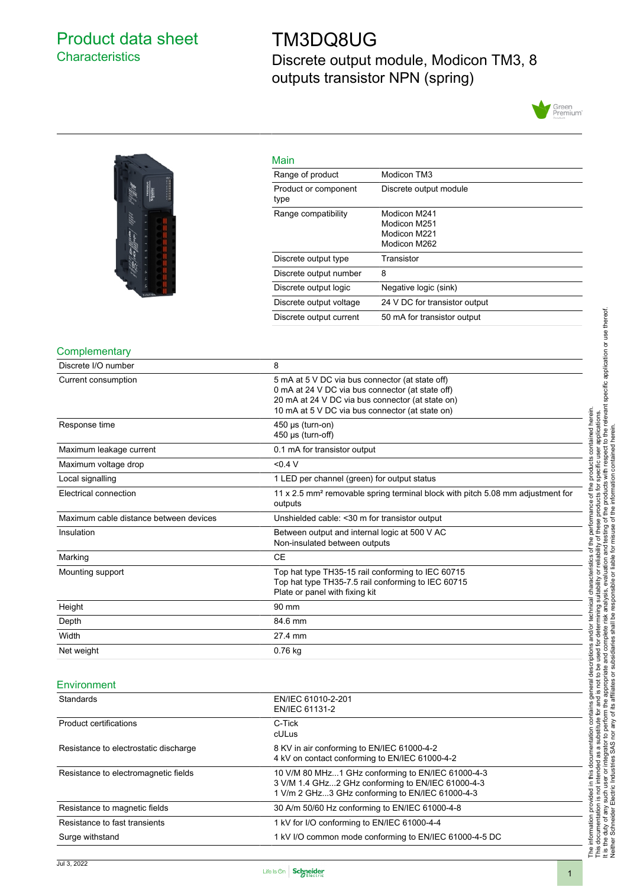# <span id="page-0-0"></span>Product data sheet **Characteristics**

# TM3DQ8UG

Discrete output module, Modicon TM3, 8 outputs transistor NPN (spring)





| Main                         |                                                              |
|------------------------------|--------------------------------------------------------------|
| Range of product             | Modicon TM3                                                  |
| Product or component<br>type | Discrete output module                                       |
| Range compatibility          | Modicon M241<br>Modicon M251<br>Modicon M221<br>Modicon M262 |
| Discrete output type         | Transistor                                                   |
| Discrete output number       | 8                                                            |
| Discrete output logic        | Negative logic (sink)                                        |
| Discrete output voltage      | 24 V DC for transistor output                                |
| Discrete output current      | 50 mA for transistor output                                  |

### **Complementary**

| Discrete I/O number                    | 8                                                                                                                                                                                                          |
|----------------------------------------|------------------------------------------------------------------------------------------------------------------------------------------------------------------------------------------------------------|
| Current consumption                    | 5 mA at 5 V DC via bus connector (at state off)<br>0 mA at 24 V DC via bus connector (at state off)<br>20 mA at 24 V DC via bus connector (at state on)<br>10 mA at 5 V DC via bus connector (at state on) |
| Response time                          | $450 \mu s$ (turn-on)<br>$450 \mu s$ (turn-off)                                                                                                                                                            |
| Maximum leakage current                | 0.1 mA for transistor output                                                                                                                                                                               |
| Maximum voltage drop                   | < 0.4 V                                                                                                                                                                                                    |
| Local signalling                       | 1 LED per channel (green) for output status                                                                                                                                                                |
| Electrical connection                  | 11 x 2.5 mm <sup>2</sup> removable spring terminal block with pitch 5.08 mm adjustment for<br>outputs                                                                                                      |
| Maximum cable distance between devices | Unshielded cable: < 30 m for transistor output                                                                                                                                                             |
| Insulation                             | Between output and internal logic at 500 V AC<br>Non-insulated between outputs                                                                                                                             |
| Marking                                | <b>CE</b>                                                                                                                                                                                                  |
| Mounting support                       | Top hat type TH35-15 rail conforming to IEC 60715<br>Top hat type TH35-7.5 rail conforming to IEC 60715<br>Plate or panel with fixing kit                                                                  |
| Height                                 | 90 mm                                                                                                                                                                                                      |
| Depth                                  | 84.6 mm                                                                                                                                                                                                    |
| Width                                  | 27.4 mm                                                                                                                                                                                                    |
| Net weight                             | 0.76 kg                                                                                                                                                                                                    |

#### Environment

| Standards                             | EN/IEC 61010-2-201<br>EN/IEC 61131-2                                                                                                                      |
|---------------------------------------|-----------------------------------------------------------------------------------------------------------------------------------------------------------|
| <b>Product certifications</b>         | C-Tick<br>cULus                                                                                                                                           |
| Resistance to electrostatic discharge | 8 KV in air conforming to EN/IEC 61000-4-2<br>4 kV on contact conforming to EN/IEC 61000-4-2                                                              |
| Resistance to electromagnetic fields  | 10 V/M 80 MHz1 GHz conforming to EN/IEC 61000-4-3<br>3 V/M 1.4 GHz2 GHz conforming to EN/IEC 61000-4-3<br>1 V/m 2 GHz3 GHz conforming to EN/IEC 61000-4-3 |
| Resistance to magnetic fields         | 30 A/m 50/60 Hz conforming to EN/IEC 61000-4-8                                                                                                            |
| Resistance to fast transients         | 1 kV for I/O conforming to EN/IEC 61000-4-4                                                                                                               |
| Surge withstand                       | 1 kV I/O common mode conforming to EN/IEC 61000-4-5 DC                                                                                                    |

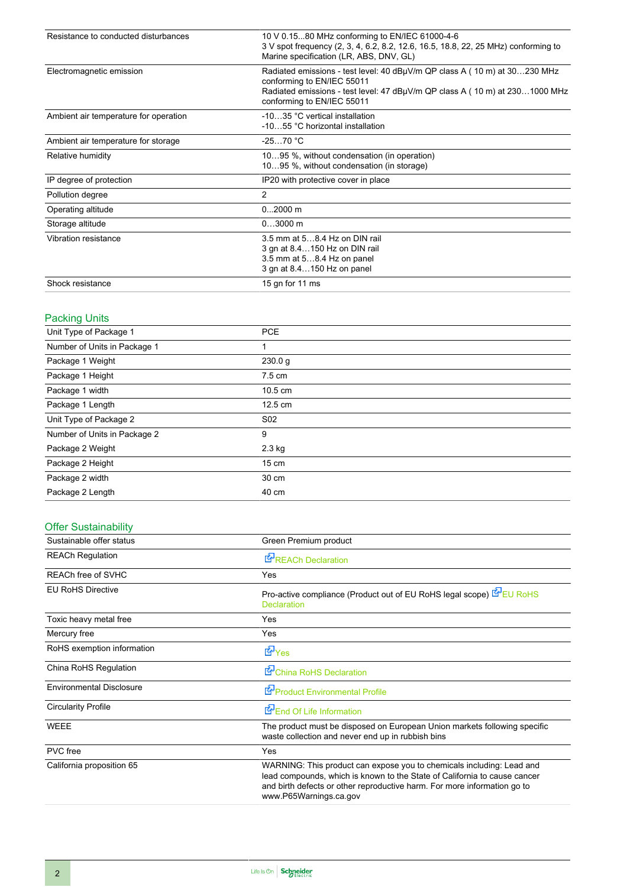| Resistance to conducted disturbances  | 10 V 0.1580 MHz conforming to EN/IEC 61000-4-6<br>3 V spot frequency (2, 3, 4, 6.2, 8.2, 12.6, 16.5, 18.8, 22, 25 MHz) conforming to<br>Marine specification (LR, ABS, DNV, GL)                                      |
|---------------------------------------|----------------------------------------------------------------------------------------------------------------------------------------------------------------------------------------------------------------------|
| Electromagnetic emission              | Radiated emissions - test level: 40 dBµV/m QP class A (10 m) at 30230 MHz<br>conforming to EN/IEC 55011<br>Radiated emissions - test level: 47 dBµV/m QP class A (10 m) at 2301000 MHz<br>conforming to EN/IEC 55011 |
| Ambient air temperature for operation | -1035 °C vertical installation<br>-1055 °C horizontal installation                                                                                                                                                   |
| Ambient air temperature for storage   | $-2570 °C$                                                                                                                                                                                                           |
| Relative humidity                     | 1095 %, without condensation (in operation)<br>1095 %, without condensation (in storage)                                                                                                                             |
| IP degree of protection               | IP20 with protective cover in place                                                                                                                                                                                  |
| Pollution degree                      | 2                                                                                                                                                                                                                    |
| Operating altitude                    | $02000$ m                                                                                                                                                                                                            |
| Storage altitude                      | $03000$ m                                                                                                                                                                                                            |
| Vibration resistance                  | 3.5 mm at 58.4 Hz on DIN rail<br>3 gn at 8.4150 Hz on DIN rail<br>3.5 mm at 58.4 Hz on panel<br>3 gn at 8.4150 Hz on panel                                                                                           |
| Shock resistance                      | 15 gn for 11 ms                                                                                                                                                                                                      |

### Packing Units

| ີ                            |                   |  |
|------------------------------|-------------------|--|
| Unit Type of Package 1       | <b>PCE</b>        |  |
| Number of Units in Package 1 |                   |  |
| Package 1 Weight             | 230.0 g           |  |
| Package 1 Height             | $7.5 \text{ cm}$  |  |
| Package 1 width              | $10.5 \text{ cm}$ |  |
| Package 1 Length             | $12.5 \text{ cm}$ |  |
| Unit Type of Package 2       | S <sub>02</sub>   |  |
| Number of Units in Package 2 | 9                 |  |
| Package 2 Weight             | $2.3$ kg          |  |
| Package 2 Height             | $15 \text{ cm}$   |  |
| Package 2 width              | 30 cm             |  |
| Package 2 Length             | 40 cm             |  |
|                              |                   |  |

### Offer Sustainability

| Sustainable offer status        | Green Premium product                                                                                                                                                                                                                                    |
|---------------------------------|----------------------------------------------------------------------------------------------------------------------------------------------------------------------------------------------------------------------------------------------------------|
| <b>REACh Regulation</b>         | REACh Declaration                                                                                                                                                                                                                                        |
| <b>REACh free of SVHC</b>       | Yes                                                                                                                                                                                                                                                      |
| <b>EU RoHS Directive</b>        | Pro-active compliance (Product out of EU RoHS legal scope) EU RoHS<br><b>Declaration</b>                                                                                                                                                                 |
| Toxic heavy metal free          | Yes                                                                                                                                                                                                                                                      |
| Mercury free                    | Yes                                                                                                                                                                                                                                                      |
| RoHS exemption information      | <b>E</b> Yes                                                                                                                                                                                                                                             |
| China RoHS Regulation           | China RoHS Declaration                                                                                                                                                                                                                                   |
| <b>Environmental Disclosure</b> | Product Environmental Profile                                                                                                                                                                                                                            |
| <b>Circularity Profile</b>      | End Of Life Information                                                                                                                                                                                                                                  |
| <b>WEEE</b>                     | The product must be disposed on European Union markets following specific<br>waste collection and never end up in rubbish bins                                                                                                                           |
| PVC free                        | Yes                                                                                                                                                                                                                                                      |
| California proposition 65       | WARNING: This product can expose you to chemicals including: Lead and<br>lead compounds, which is known to the State of California to cause cancer<br>and birth defects or other reproductive harm. For more information go to<br>www.P65Warnings.ca.gov |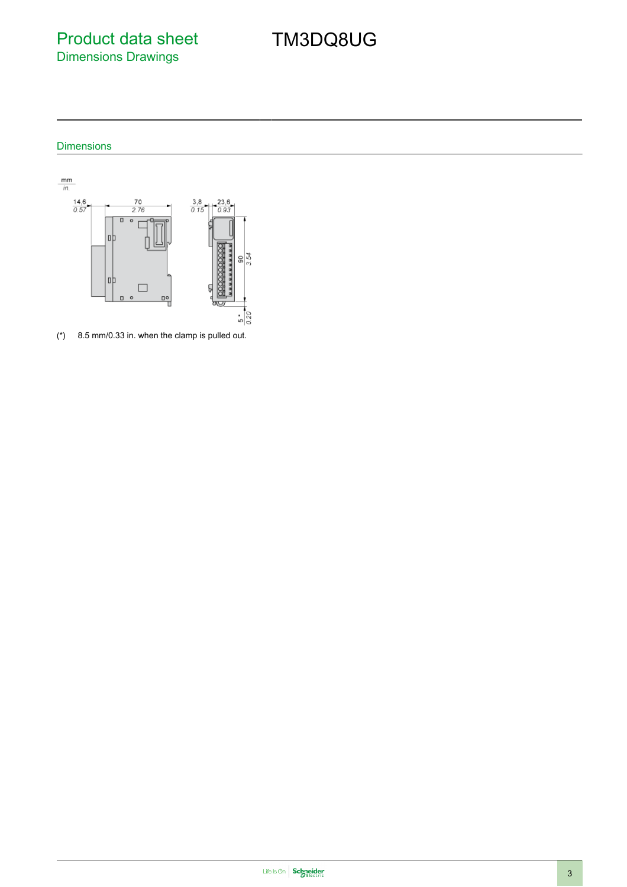Product data sheet Dimensions Drawings

# TM3DQ8UG

## Dimensions



(\*) 8.5 mm/0.33 in. when the clamp is pulled out.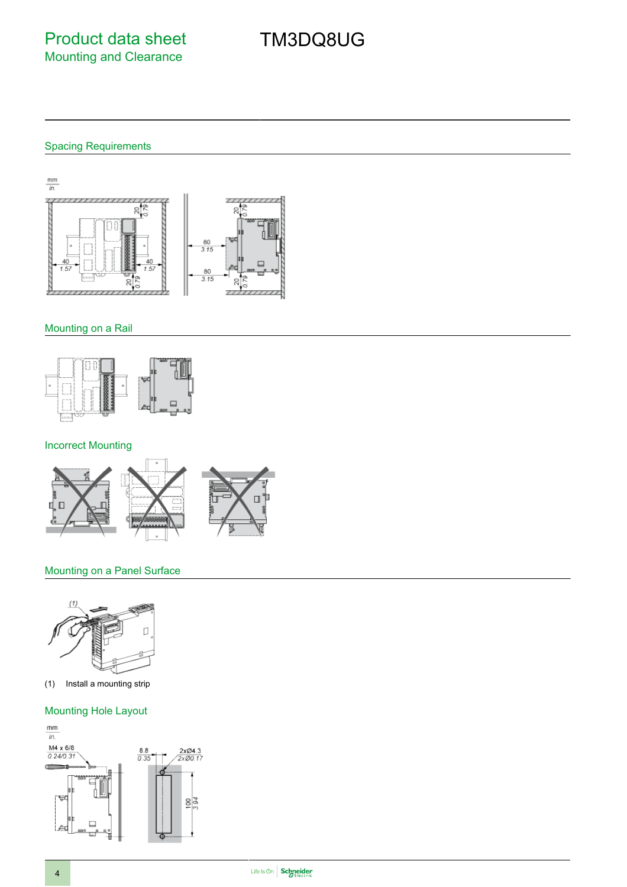# TM3DQ8UG

### Spacing Requirements



### Mounting on a Rail



### Incorrect Mounting



### Mounting on a Panel Surface



(1) Install a mounting strip

### Mounting Hole Layout